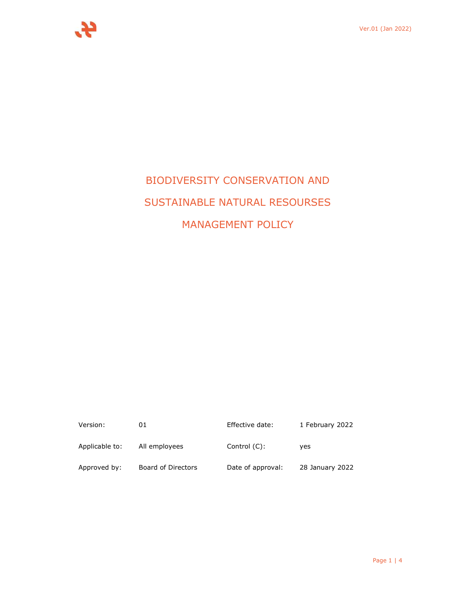

# BIODIVERSITY CONSERVATION AND SUSTAINABLE NATURAL RESOURSES MANAGEMENT POLICY

| Version:       | 01                 | Effective date:   | 1 February 2022 |
|----------------|--------------------|-------------------|-----------------|
| Applicable to: | All employees      | Control $(C)$ :   | ves             |
| Approved by:   | Board of Directors | Date of approval: | 28 January 2022 |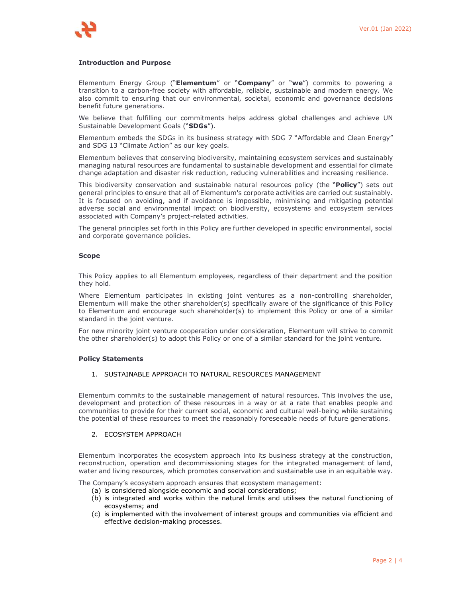# **Introduction and Purpose**

Elementum Energy Group ("**Elementum**" or "**Company**" or "**we**") commits to powering a transition to a carbon-free society with affordable, reliable, sustainable and modern energy. We also commit to ensuring that our environmental, societal, economic and governance decisions benefit future generations.

We believe that fulfilling our commitments helps address global challenges and achieve UN Sustainable Development Goals ("**SDGs**").

Elementum embeds the SDGs in its business strategy with SDG 7 "Affordable and Clean Energy" and SDG 13 "Climate Action" as our key goals.

Elementum believes that conserving biodiversity, maintaining ecosystem services and sustainably managing natural resources are fundamental to sustainable development and essential for climate change adaptation and disaster risk reduction, reducing vulnerabilities and increasing resilience.

This biodiversity conservation and sustainable natural resources policy (the "**Policy**") sets out general principles to ensure that all of Elementum's corporate activities are carried out sustainably. It is focused on avoiding, and if avoidance is impossible, minimising and mitigating potential adverse social and environmental impact on biodiversity, ecosystems and ecosystem services associated with Company's project-related activities.

The general principles set forth in this Policy are further developed in specific environmental, social and corporate governance policies.

#### **Scope**

This Policy applies to all Elementum employees, regardless of their department and the position they hold.

Where Elementum participates in existing joint ventures as a non-controlling shareholder, Elementum will make the other shareholder(s) specifically aware of the significance of this Policy to Elementum and encourage such shareholder(s) to implement this Policy or one of a similar standard in the joint venture.

For new minority joint venture cooperation under consideration, Elementum will strive to commit the other shareholder(s) to adopt this Policy or one of a similar standard for the joint venture.

## **Policy Statements**

#### 1. SUSTAINABLE APPROACH TO NATURAL RESOURCES MANAGEMENT

Elementum commits to the sustainable management of natural resources. This involves the use, development and protection of these resources in a way or at a rate that enables people and communities to provide for their current social, economic and cultural well-being while sustaining the potential of these resources to meet the reasonably foreseeable needs of future generations.

#### 2. ECOSYSTEM APPROACH

Elementum incorporates the ecosystem approach into its business strategy at the construction, reconstruction, operation and decommissioning stages for the integrated management of land, water and living resources, which promotes conservation and sustainable use in an equitable way.

The Company's ecosystem approach ensures that ecosystem management:

- (a) is considered alongside economic and social considerations;
- (b) is integrated and works within the natural limits and utilises the natural functioning of ecosystems; and
- (c) is implemented with the involvement of interest groups and communities via efficient and effective decision-making processes.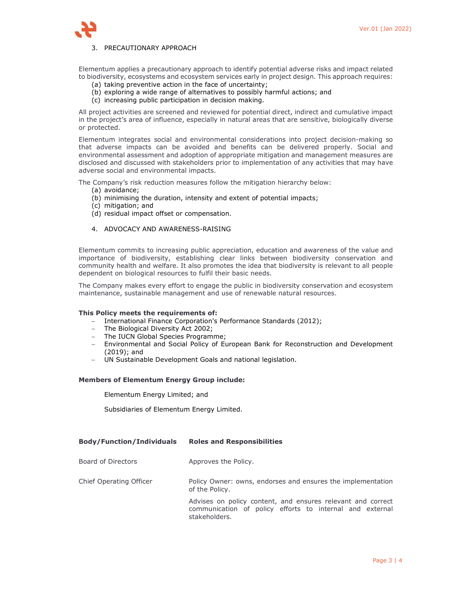

# 3. PRECAUTIONARY APPROACH

Elementum applies a precautionary approach to identify potential adverse risks and impact related to biodiversity, ecosystems and ecosystem services early in project design. This approach requires:

- (a) taking preventive action in the face of uncertainty;
- (b) exploring a wide range of alternatives to possibly harmful actions; and
- (c) increasing public participation in decision making.

All project activities are screened and reviewed for potential direct, indirect and cumulative impact in the project's area of influence, especially in natural areas that are sensitive, biologically diverse or protected.

Elementum integrates social and environmental considerations into project decision-making so that adverse impacts can be avoided and benefits can be delivered properly. Social and environmental assessment and adoption of appropriate mitigation and management measures are disclosed and discussed with stakeholders prior to implementation of any activities that may have adverse social and environmental impacts.

The Company's risk reduction measures follow the mitigation hierarchy below:

- (a) avoidance;
- (b) minimising the duration, intensity and extent of potential impacts;
- (c) mitigation; and
- (d) residual impact offset or compensation.
- 4. ADVOCACY AND AWARENESS-RAISING

Elementum commits to increasing public appreciation, education and awareness of the value and importance of biodiversity, establishing clear links between biodiversity conservation and community health and welfare. It also promotes the idea that biodiversity is relevant to all people dependent on biological resources to fulfil their basic needs.

The Company makes every effort to engage the public in biodiversity conservation and ecosystem maintenance, sustainable management and use of renewable natural resources.

#### **This Policy meets the requirements of:**

- International Finance Corporation's Performance Standards (2012);
- The Biological Diversity Act 2002;
- The IUCN Global Species Programme;
- Environmental and Social Policy of European Bank for Reconstruction and Development (2019); and
- UN Sustainable Development Goals and national legislation.

#### **Members of Elementum Energy Group include:**

Elementum Energy Limited; and

Subsidiaries of Elementum Energy Limited.

# **Body/Function/Individuals Roles and Responsibilities**

| Board of Directors      | Approves the Policy.                                                                                                                     |
|-------------------------|------------------------------------------------------------------------------------------------------------------------------------------|
| Chief Operating Officer | Policy Owner: owns, endorses and ensures the implementation<br>of the Policy.                                                            |
|                         | Advises on policy content, and ensures relevant and correct<br>communication of policy efforts to internal and external<br>stakeholders. |